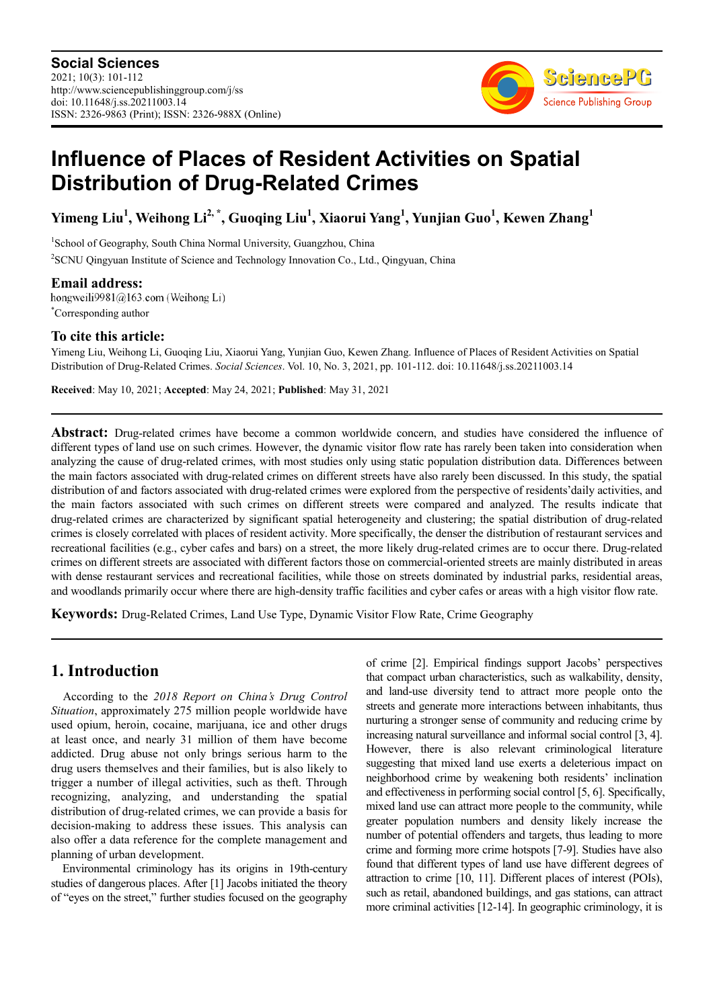

# **Influence of Places of Resident Activities on Spatial Distribution of Drug-Related Crimes**

**Yimeng Liu<sup>1</sup> , Weihong Li2, \*, Guoqing Liu<sup>1</sup> , Xiaorui Yang<sup>1</sup> , Yunjian Guo<sup>1</sup> , Kewen Zhang<sup>1</sup>**

<sup>1</sup>School of Geography, South China Normal University, Guangzhou, China

<sup>2</sup>SCNU Qingyuan Institute of Science and Technology Innovation Co., Ltd., Qingyuan, China

**Email address:**<br>hongweili9981@163.com (Weihong Li) \*Corresponding author

### **To cite this article:**

Yimeng Liu, Weihong Li, Guoqing Liu, Xiaorui Yang, Yunjian Guo, Kewen Zhang. Influence of Places of Resident Activities on Spatial Distribution of Drug-Related Crimes. *Social Sciences*. Vol. 10, No. 3, 2021, pp. 101-112. doi: 10.11648/j.ss.20211003.14

**Received**: May 10, 2021; **Accepted**: May 24, 2021; **Published**: May 31, 2021

**Abstract:** Drug-related crimes have become a common worldwide concern, and studies have considered the influence of different types of land use on such crimes. However, the dynamic visitor flow rate has rarely been taken into consideration when analyzing the cause of drug-related crimes, with most studies only using static population distribution data. Differences between the main factors associated with drug-related crimes on different streets have also rarely been discussed. In this study, the spatial distribution of and factors associated with drug-related crimes were explored from the perspective of residents'daily activities, and the main factors associated with such crimes on different streets were compared and analyzed. The results indicate that drug-related crimes are characterized by significant spatial heterogeneity and clustering; the spatial distribution of drug-related crimes is closely correlated with places of resident activity. More specifically, the denser the distribution of restaurant services and recreational facilities (e.g., cyber cafes and bars) on a street, the more likely drug-related crimes are to occur there. Drug-related crimes on different streets are associated with different factors those on commercial-oriented streets are mainly distributed in areas with dense restaurant services and recreational facilities, while those on streets dominated by industrial parks, residential areas, and woodlands primarily occur where there are high-density traffic facilities and cyber cafes or areas with a high visitor flow rate.

**Keywords:** Drug-Related Crimes, Land Use Type, Dynamic Visitor Flow Rate, Crime Geography

### **1. Introduction**

According to the *2018 Report on China's Drug Control Situation*, approximately 275 million people worldwide have used opium, heroin, cocaine, marijuana, ice and other drugs at least once, and nearly 31 million of them have become addicted. Drug abuse not only brings serious harm to the drug users themselves and their families, but is also likely to trigger a number of illegal activities, such as theft. Through recognizing, analyzing, and understanding the spatial distribution of drug-related crimes, we can provide a basis for decision-making to address these issues. This analysis can also offer a data reference for the complete management and planning of urban development.

Environmental criminology has its origins in 19th-century studies of dangerous places. After [1] Jacobs initiated the theory of "eyes on the street," further studies focused on the geography

of crime [2]. Empirical findings support Jacobs' perspectives that compact urban characteristics, such as walkability, density, and land-use diversity tend to attract more people onto the streets and generate more interactions between inhabitants, thus nurturing a stronger sense of community and reducing crime by increasing natural surveillance and informal social control [3, 4]. However, there is also relevant criminological literature suggesting that mixed land use exerts a deleterious impact on neighborhood crime by weakening both residents' inclination and effectiveness in performing social control [5, 6]. Specifically, mixed land use can attract more people to the community, while greater population numbers and density likely increase the number of potential offenders and targets, thus leading to more crime and forming more crime hotspots [7-9]. Studies have also found that different types of land use have different degrees of attraction to crime [10, 11]. Different places of interest (POIs), such as retail, abandoned buildings, and gas stations, can attract more criminal activities [12-14]. In geographic criminology, it is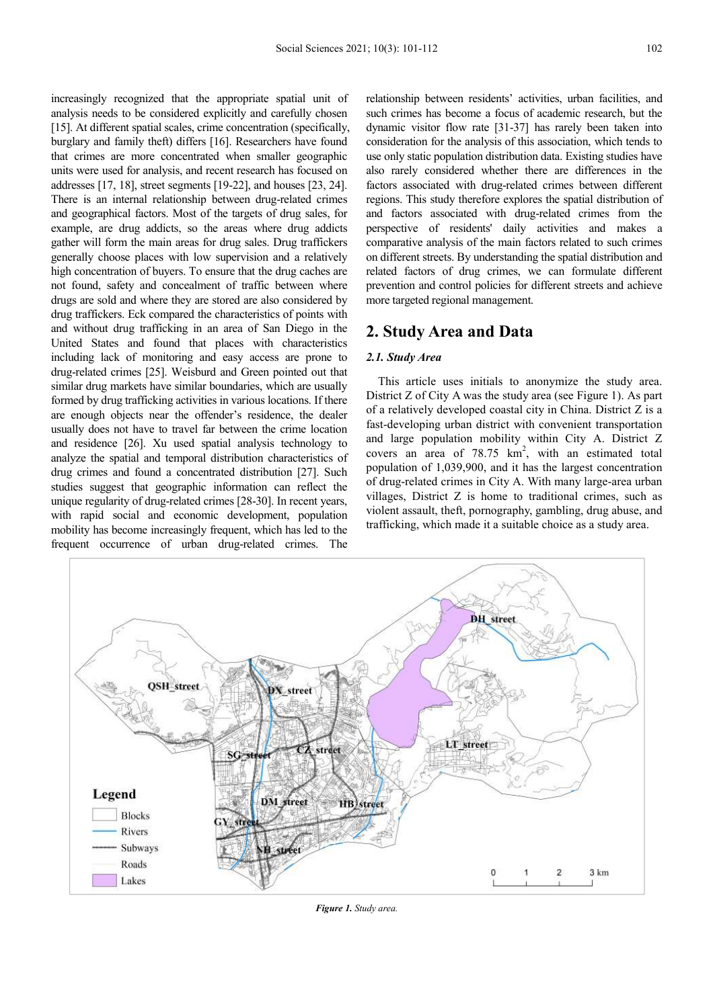increasingly recognized that the appropriate spatial unit of analysis needs to be considered explicitly and carefully chosen [15]. At different spatial scales, crime concentration (specifically, burglary and family theft) differs [16]. Researchers have found that crimes are more concentrated when smaller geographic units were used for analysis, and recent research has focused on addresses [17, 18], street segments [19-22], and houses [23, 24]. There is an internal relationship between drug-related crimes and geographical factors. Most of the targets of drug sales, for example, are drug addicts, so the areas where drug addicts gather will form the main areas for drug sales. Drug traffickers generally choose places with low supervision and a relatively high concentration of buyers. To ensure that the drug caches are not found, safety and concealment of traffic between where drugs are sold and where they are stored are also considered by drug traffickers. Eck compared the characteristics of points with and without drug trafficking in an area of San Diego in the United States and found that places with characteristics including lack of monitoring and easy access are prone to drug-related crimes [25]. Weisburd and Green pointed out that similar drug markets have similar boundaries, which are usually formed by drug trafficking activities in various locations. If there are enough objects near the offender's residence, the dealer usually does not have to travel far between the crime location and residence [26]. Xu used spatial analysis technology to analyze the spatial and temporal distribution characteristics of drug crimes and found a concentrated distribution [27]. Such studies suggest that geographic information can reflect the unique regularity of drug-related crimes [28-30]. In recent years, with rapid social and economic development, population mobility has become increasingly frequent, which has led to the frequent occurrence of urban drug-related crimes. The

relationship between residents' activities, urban facilities, and such crimes has become a focus of academic research, but the dynamic visitor flow rate [31-37] has rarely been taken into consideration for the analysis of this association, which tends to use only static population distribution data. Existing studies have also rarely considered whether there are differences in the factors associated with drug-related crimes between different regions. This study therefore explores the spatial distribution of and factors associated with drug-related crimes from the perspective of residents' daily activities and makes a comparative analysis of the main factors related to such crimes on different streets. By understanding the spatial distribution and related factors of drug crimes, we can formulate different prevention and control policies for different streets and achieve more targeted regional management.

#### **2. Study Area and Data**

#### *2.1. Study Area*

This article uses initials to anonymize the study area. District Z of City A was the study area (see Figure 1). As part of a relatively developed coastal city in China. District Z is a fast-developing urban district with convenient transportation and large population mobility within City A. District Z covers an area of  $78.75 \text{ km}^2$ , with an estimated total population of 1,039,900, and it has the largest concentration of drug-related crimes in City A. With many large-area urban villages, District Z is home to traditional crimes, such as violent assault, theft, pornography, gambling, drug abuse, and trafficking, which made it a suitable choice as a study area.



*Figure 1. Study area.*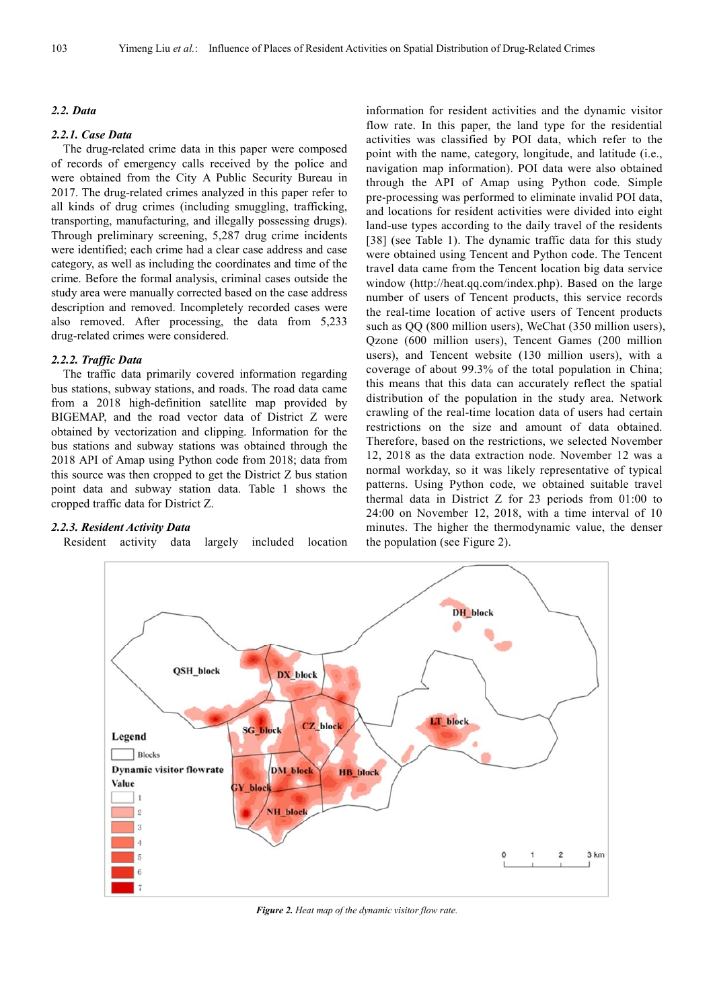#### *2.2. Data*

#### *2.2.1. Case Data*

The drug-related crime data in this paper were composed of records of emergency calls received by the police and were obtained from the City A Public Security Bureau in 2017. The drug-related crimes analyzed in this paper refer to all kinds of drug crimes (including smuggling, trafficking, transporting, manufacturing, and illegally possessing drugs). Through preliminary screening, 5,287 drug crime incidents were identified; each crime had a clear case address and case category, as well as including the coordinates and time of the crime. Before the formal analysis, criminal cases outside the study area were manually corrected based on the case address description and removed. Incompletely recorded cases were also removed. After processing, the data from 5,233 drug-related crimes were considered.

### *2.2.2. Traffic Data*

The traffic data primarily covered information regarding bus stations, subway stations, and roads. The road data came from a 2018 high-definition satellite map provided by BIGEMAP, and the road vector data of District Z were obtained by vectorization and clipping. Information for the bus stations and subway stations was obtained through the 2018 API of Amap using Python code from 2018; data from this source was then cropped to get the District Z bus station point data and subway station data. Table 1 shows the cropped traffic data for District Z.

#### *2.2.3. Resident Activity Data*

Resident activity data largely included location

information for resident activities and the dynamic visitor flow rate. In this paper, the land type for the residential activities was classified by POI data, which refer to the point with the name, category, longitude, and latitude (i.e., navigation map information). POI data were also obtained through the API of Amap using Python code. Simple pre-processing was performed to eliminate invalid POI data, and locations for resident activities were divided into eight land-use types according to the daily travel of the residents [38] (see Table 1). The dynamic traffic data for this study were obtained using Tencent and Python code. The Tencent travel data came from the Tencent location big data service window (http://heat.qq.com/index.php). Based on the large number of users of Tencent products, this service records the real-time location of active users of Tencent products such as QQ (800 million users), WeChat (350 million users), Qzone (600 million users), Tencent Games (200 million users), and Tencent website (130 million users), with a coverage of about 99.3% of the total population in China; this means that this data can accurately reflect the spatial distribution of the population in the study area. Network crawling of the real-time location data of users had certain restrictions on the size and amount of data obtained. Therefore, based on the restrictions, we selected November 12, 2018 as the data extraction node. November 12 was a normal workday, so it was likely representative of typical patterns. Using Python code, we obtained suitable travel thermal data in District Z for 23 periods from 01:00 to 24:00 on November 12, 2018, with a time interval of 10 minutes. The higher the thermodynamic value, the denser the population (see Figure 2).



*Figure 2. Heat map of the dynamic visitor flow rate.*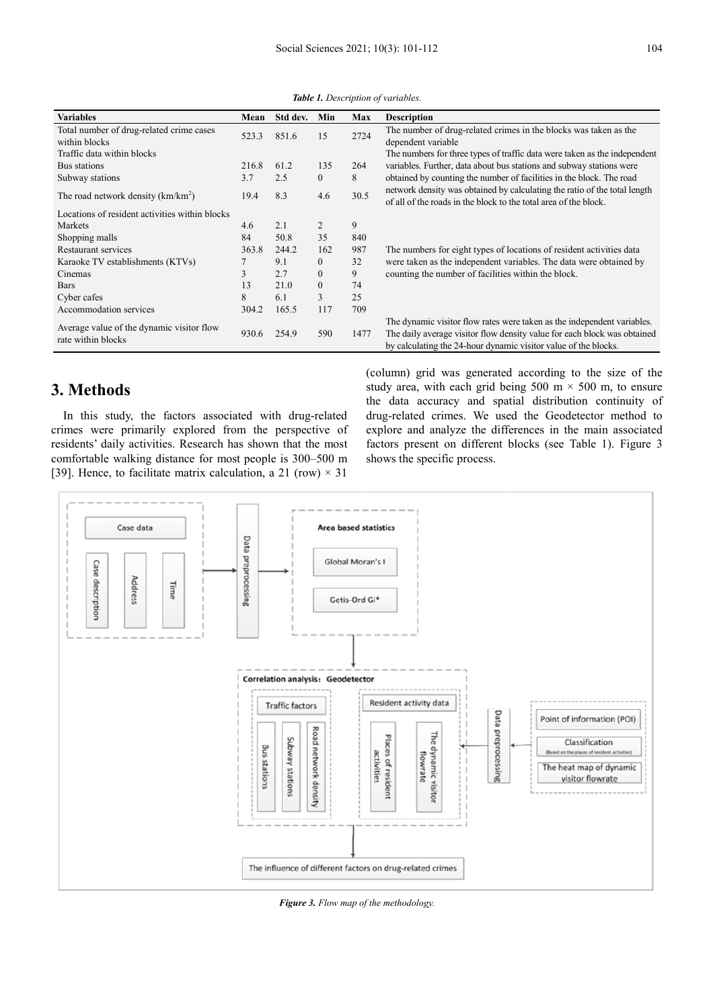| <b>Variables</b>                                                | Mean  | Std dev. | Min            | Max  | <b>Description</b>                                                                                                                                                                                                     |
|-----------------------------------------------------------------|-------|----------|----------------|------|------------------------------------------------------------------------------------------------------------------------------------------------------------------------------------------------------------------------|
| Total number of drug-related crime cases                        | 523.3 | 851.6    | 15             | 2724 | The number of drug-related crimes in the blocks was taken as the                                                                                                                                                       |
| within blocks                                                   |       |          |                |      | dependent variable                                                                                                                                                                                                     |
| Traffic data within blocks                                      |       |          |                |      | The numbers for three types of traffic data were taken as the independent                                                                                                                                              |
| Bus stations                                                    | 216.8 | 61.2     | 135            | 264  | variables. Further, data about bus stations and subway stations were                                                                                                                                                   |
| Subway stations                                                 | 3.7   | 2.5      | $\overline{0}$ | 8    | obtained by counting the number of facilities in the block. The road                                                                                                                                                   |
| The road network density $(km/km^2)$                            | 19.4  | 8.3      | 4.6            | 30.5 | network density was obtained by calculating the ratio of the total length<br>of all of the roads in the block to the total area of the block.                                                                          |
| Locations of resident activities within blocks                  |       |          |                |      |                                                                                                                                                                                                                        |
| Markets                                                         | 4.6   | 2.1      | 2              | 9    |                                                                                                                                                                                                                        |
| Shopping malls                                                  | 84    | 50.8     | 35             | 840  |                                                                                                                                                                                                                        |
| Restaurant services                                             | 363.8 | 244.2    | 162            | 987  | The numbers for eight types of locations of resident activities data                                                                                                                                                   |
| Karaoke TV establishments (KTVs)                                |       | 9.1      | $\overline{0}$ | 32   | were taken as the independent variables. The data were obtained by                                                                                                                                                     |
| Cinemas                                                         | 3     | 2.7      | $\theta$       | 9    | counting the number of facilities within the block.                                                                                                                                                                    |
| <b>Bars</b>                                                     | 13    | 21.0     | $\mathbf{0}$   | 74   |                                                                                                                                                                                                                        |
| Cyber cafes                                                     | 8     | 6.1      | 3              | 25   |                                                                                                                                                                                                                        |
| Accommodation services                                          | 304.2 | 165.5    | 117            | 709  |                                                                                                                                                                                                                        |
| Average value of the dynamic visitor flow<br>rate within blocks | 930.6 | 254.9    | 590            | 1477 | The dynamic visitor flow rates were taken as the independent variables.<br>The daily average visitor flow density value for each block was obtained<br>by calculating the 24-hour dynamic visitor value of the blocks. |

*Table 1. Description of variables.* 

## **3. Methods**

In this study, the factors associated with drug-related crimes were primarily explored from the perspective of residents' daily activities. Research has shown that the most comfortable walking distance for most people is 300–500 m [39]. Hence, to facilitate matrix calculation, a 21 (row)  $\times$  31

(column) grid was generated according to the size of the study area, with each grid being 500 m  $\times$  500 m, to ensure the data accuracy and spatial distribution continuity of drug-related crimes. We used the Geodetector method to explore and analyze the differences in the main associated factors present on different blocks (see Table 1). Figure 3 shows the specific process.



*Figure 3. Flow map of the methodology.*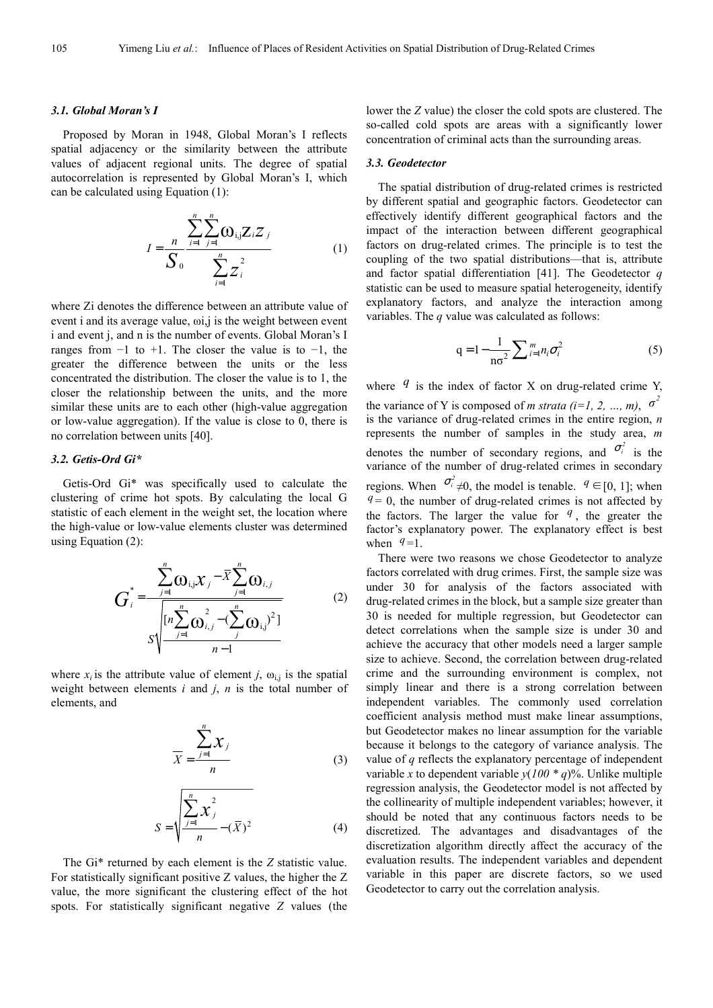#### *3.1. Global Moran's I*

Proposed by Moran in 1948, Global Moran's I reflects spatial adjacency or the similarity between the attribute values of adjacent regional units. The degree of spatial autocorrelation is represented by Global Moran's I, which can be calculated using Equation (1):

$$
I = \frac{n}{S_0} \frac{\sum_{i=1}^{n} \sum_{j=1}^{n} \mathbf{O}_{i,j} Z_i Z_j}{\sum_{i=1}^{n} Z_i^2}
$$
 (1)

where Zi denotes the difference between an attribute value of event i and its average value, ωi,j is the weight between event i and event j, and n is the number of events. Global Moran's I ranges from  $-1$  to  $+1$ . The closer the value is to  $-1$ , the greater the difference between the units or the less concentrated the distribution. The closer the value is to 1, the closer the relationship between the units, and the more similar these units are to each other (high-value aggregation or low-value aggregation). If the value is close to 0, there is no correlation between units [40].

#### *3.2. Getis-Ord Gi\**

Getis-Ord Gi\* was specifically used to calculate the clustering of crime hot spots. By calculating the local G statistic of each element in the weight set, the location where the high-value or low-value elements cluster was determined using Equation (2):

$$
G_{i}^{*} = \frac{\sum_{j=1}^{n} \omega_{i,j} x_{j} - \bar{X} \sum_{j=1}^{n} \omega_{i,j}}{\sqrt{\left[n \sum_{j=1}^{n} \omega_{i,j}^{2} - (\sum_{j}^{n} \omega_{i,j})^{2}\right]}}
$$
(2)

where  $x_i$  is the attribute value of element *j*,  $\omega_{i,j}$  is the spatial weight between elements *i* and *j*, *n* is the total number of elements, and

$$
\overline{X} = \frac{\sum_{j=1}^{n} X_j}{n}
$$
 (3)

$$
S = \sqrt{\frac{\sum_{j=1}^{n} x_j^2}{n} - (\bar{X})^2}
$$
 (4)

The Gi\* returned by each element is the *Z* statistic value. For statistically significant positive Z values, the higher the Z value, the more significant the clustering effect of the hot spots. For statistically significant negative *Z* values (the

lower the *Z* value) the closer the cold spots are clustered. The so-called cold spots are areas with a significantly lower concentration of criminal acts than the surrounding areas.

#### *3.3. Geodetector*

The spatial distribution of drug-related crimes is restricted by different spatial and geographic factors. Geodetector can effectively identify different geographical factors and the impact of the interaction between different geographical factors on drug-related crimes. The principle is to test the coupling of the two spatial distributions—that is, attribute and factor spatial differentiation [41]. The Geodetector *q* statistic can be used to measure spatial heterogeneity, identify explanatory factors, and analyze the interaction among variables. The *q* value was calculated as follows:

$$
q = 1 - \frac{1}{n\sigma^2} \sum_{i=1}^{m} n_i \sigma_i^2
$$
 (5)

where  $q$  is the index of factor X on drug-related crime Y, the variance of Y is composed of *m strata* (*i*=1, 2, ..., *m*),  $\sigma^2$ is the variance of drug-related crimes in the entire region, *n* represents the number of samples in the study area, *m* denotes the number of secondary regions, and  $\sigma_i^2$  is the variance of the number of drug-related crimes in secondary regions. When  $\sigma_i^2 \neq 0$ , the model is tenable.  $q \in [0, 1]$ ; when  $q = 0$ , the number of drug-related crimes is not affected by the factors. The larger the value for  $q$ , the greater the factor's explanatory power. The explanatory effect is best when  $q=1$ .

There were two reasons we chose Geodetector to analyze factors correlated with drug crimes. First, the sample size was under 30 for analysis of the factors associated with drug-related crimes in the block, but a sample size greater than 30 is needed for multiple regression, but Geodetector can detect correlations when the sample size is under 30 and achieve the accuracy that other models need a larger sample size to achieve. Second, the correlation between drug-related crime and the surrounding environment is complex, not simply linear and there is a strong correlation between independent variables. The commonly used correlation coefficient analysis method must make linear assumptions, but Geodetector makes no linear assumption for the variable because it belongs to the category of variance analysis. The value of *q* reflects the explanatory percentage of independent variable *x* to dependent variable  $y(100 * q)$ %. Unlike multiple regression analysis, the Geodetector model is not affected by the collinearity of multiple independent variables; however, it should be noted that any continuous factors needs to be discretized. The advantages and disadvantages of the discretization algorithm directly affect the accuracy of the evaluation results. The independent variables and dependent variable in this paper are discrete factors, so we used Geodetector to carry out the correlation analysis.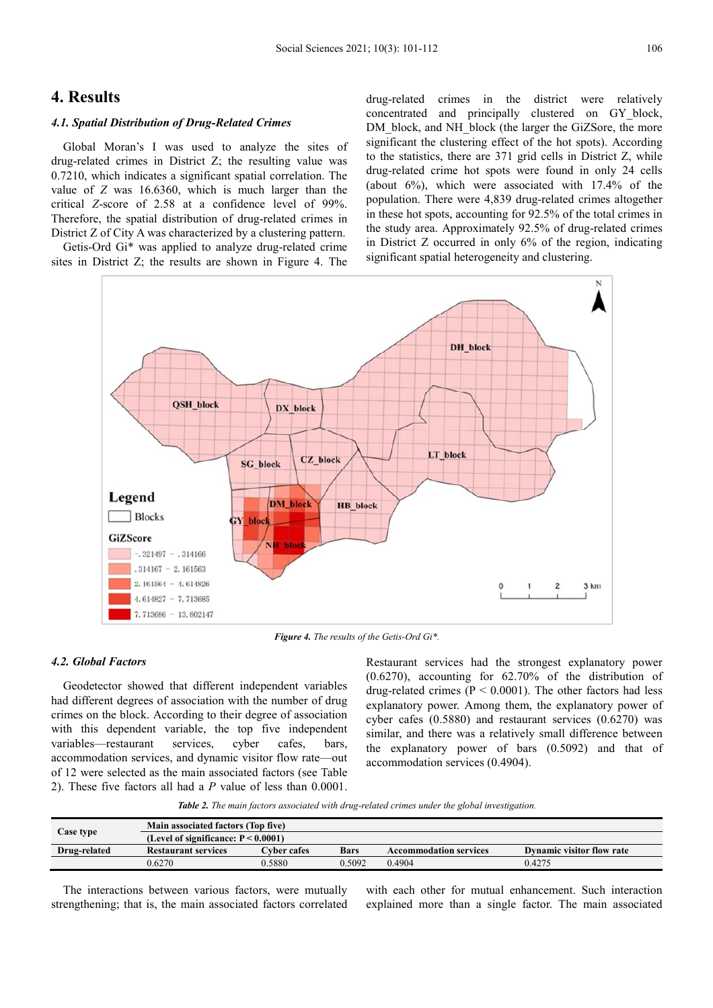### **4. Results**

#### *4.1. Spatial Distribution of Drug-Related Crimes*

Global Moran's I was used to analyze the sites of drug-related crimes in District Z; the resulting value was 0.7210, which indicates a significant spatial correlation. The value of *Z* was 16.6360, which is much larger than the critical *Z*-score of 2.58 at a confidence level of 99%. Therefore, the spatial distribution of drug-related crimes in District Z of City A was characterized by a clustering pattern.

Getis-Ord Gi\* was applied to analyze drug-related crime sites in District Z; the results are shown in Figure 4. The drug-related crimes in the district were relatively concentrated and principally clustered on GY\_block, DM\_block, and NH\_block (the larger the GiZSore, the more significant the clustering effect of the hot spots). According to the statistics, there are 371 grid cells in District Z, while drug-related crime hot spots were found in only 24 cells (about 6%), which were associated with 17.4% of the population. There were 4,839 drug-related crimes altogether in these hot spots, accounting for 92.5% of the total crimes in the study area. Approximately 92.5% of drug-related crimes in District Z occurred in only 6% of the region, indicating significant spatial heterogeneity and clustering.



*Figure 4. The results of the Getis-Ord Gi\*.* 

#### *4.2. Global Factors*

Geodetector showed that different independent variables had different degrees of association with the number of drug crimes on the block. According to their degree of association with this dependent variable, the top five independent variables—restaurant services, cyber cafes, bars, accommodation services, and dynamic visitor flow rate—out of 12 were selected as the main associated factors (see Table 2). These five factors all had a *P* value of less than 0.0001.

Restaurant services had the strongest explanatory power (0.6270), accounting for 62.70% of the distribution of drug-related crimes ( $P < 0.0001$ ). The other factors had less explanatory power. Among them, the explanatory power of cyber cafes (0.5880) and restaurant services (0.6270) was similar, and there was a relatively small difference between the explanatory power of bars (0.5092) and that of accommodation services (0.4904).

*Table 2. The main factors associated with drug-related crimes under the global investigation.* 

|              | Main associated factors (Top five)     |                    |        |                               |                           |  |  |
|--------------|----------------------------------------|--------------------|--------|-------------------------------|---------------------------|--|--|
| Case type    | (Level of significance: $P < 0.0001$ ) |                    |        |                               |                           |  |  |
| Drug-related | <b>Restaurant services</b>             | <b>Cyber cafes</b> | Bars   | <b>Accommodation services</b> | Dynamic visitor flow rate |  |  |
|              | 0.6270                                 | 0.5880             | 0.5092 | 0.4904                        | 0.4275                    |  |  |

The interactions between various factors, were mutually strengthening; that is, the main associated factors correlated with each other for mutual enhancement. Such interaction explained more than a single factor. The main associated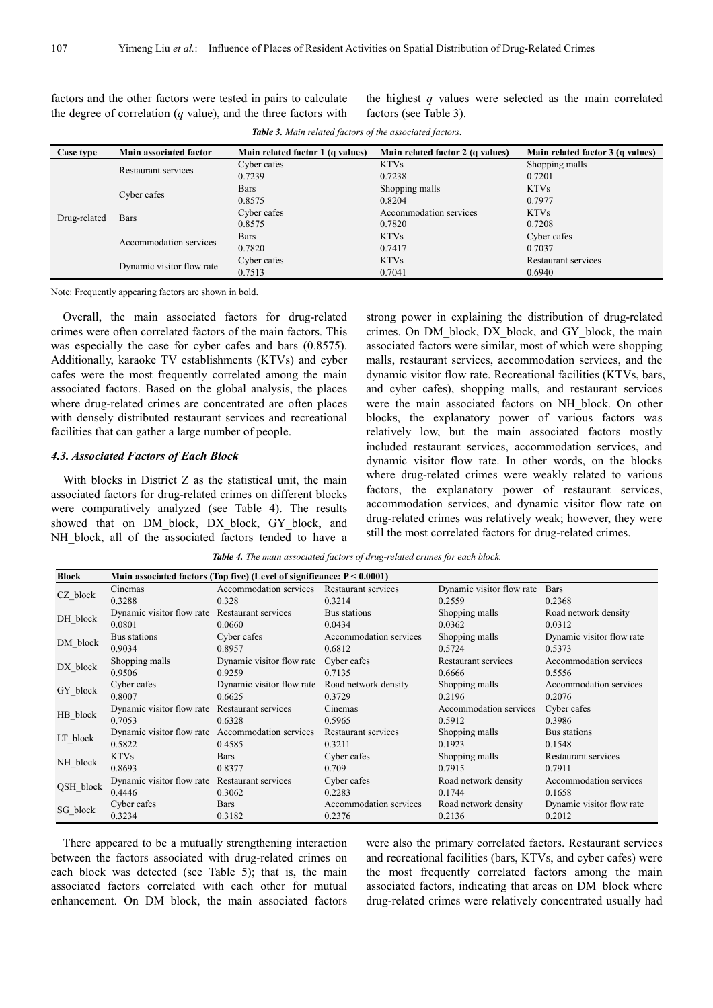factors and the other factors were tested in pairs to calculate the degree of correlation (*q* value), and the three factors with the highest *q* values were selected as the main correlated factors (see Table 3).

| <b>Case type</b> | Main associated factor    | Main related factor 1 (q values) | Main related factor 2 (q values) | Main related factor 3 (q values) |
|------------------|---------------------------|----------------------------------|----------------------------------|----------------------------------|
| Drug-related     | Restaurant services       | Cyber cafes                      | <b>KTVs</b>                      | Shopping malls                   |
|                  |                           | 0.7239                           | 0.7238                           | 0.7201                           |
|                  | Cyber cafes               | <b>Bars</b>                      | Shopping malls                   | <b>KTVs</b>                      |
|                  |                           | 0.8575                           | 0.8204                           | 0.7977                           |
|                  | <b>Bars</b>               | Cyber cafes                      | Accommodation services           | <b>KTVs</b>                      |
|                  |                           | 0.8575                           | 0.7820                           | 0.7208                           |
|                  | Accommodation services    | <b>Bars</b>                      | <b>KTVs</b>                      | Cyber cafes                      |
|                  |                           | 0.7820                           | 0.7417                           | 0.7037                           |
|                  | Dynamic visitor flow rate | Cyber cafes                      | <b>KTVs</b>                      | Restaurant services              |
|                  |                           | 0.7513                           | 0.7041                           | 0.6940                           |

*Table 3. Main related factors of the associated factors.* 

Note: Frequently appearing factors are shown in bold.

Overall, the main associated factors for drug-related crimes were often correlated factors of the main factors. This was especially the case for cyber cafes and bars (0.8575). Additionally, karaoke TV establishments (KTVs) and cyber cafes were the most frequently correlated among the main associated factors. Based on the global analysis, the places where drug-related crimes are concentrated are often places with densely distributed restaurant services and recreational facilities that can gather a large number of people.

#### *4.3. Associated Factors of Each Block*

With blocks in District Z as the statistical unit, the main associated factors for drug-related crimes on different blocks were comparatively analyzed (see Table 4). The results showed that on DM\_block, DX\_block, GY\_block, and NH block, all of the associated factors tended to have a

strong power in explaining the distribution of drug-related crimes. On DM\_block, DX\_block, and GY\_block, the main associated factors were similar, most of which were shopping malls, restaurant services, accommodation services, and the dynamic visitor flow rate. Recreational facilities (KTVs, bars, and cyber cafes), shopping malls, and restaurant services were the main associated factors on NH\_block. On other blocks, the explanatory power of various factors was relatively low, but the main associated factors mostly included restaurant services, accommodation services, and dynamic visitor flow rate. In other words, on the blocks where drug-related crimes were weakly related to various factors, the explanatory power of restaurant services, accommodation services, and dynamic visitor flow rate on drug-related crimes was relatively weak; however, they were still the most correlated factors for drug-related crimes.

*Table 4. The main associated factors of drug-related crimes for each block.* 

| Block     | Main associated factors (Top five) (Level of significance: $P < 0.0001$ ) |                                            |                        |                           |                           |  |
|-----------|---------------------------------------------------------------------------|--------------------------------------------|------------------------|---------------------------|---------------------------|--|
|           | Cinemas                                                                   | Accommodation services Restaurant services |                        | Dynamic visitor flow rate | <b>Bars</b>               |  |
| CZ_block  | 0.3288                                                                    | 0.328                                      | 0.3214                 | 0.2559                    | 0.2368                    |  |
| DH_block  | Dynamic visitor flow rate                                                 | Restaurant services                        | Bus stations           | Shopping malls            | Road network density      |  |
|           | 0.0801                                                                    | 0.0660                                     | 0.0434                 | 0.0362                    | 0.0312                    |  |
| DM block  | Bus stations                                                              | Cyber cafes                                | Accommodation services | Shopping malls            | Dynamic visitor flow rate |  |
|           | 0.9034                                                                    | 0.8957                                     | 0.6812                 | 0.5724                    | 0.5373                    |  |
|           | Shopping malls                                                            | Dynamic visitor flow rate                  | Cyber cafes            | Restaurant services       | Accommodation services    |  |
| DX_block  | 0.9506                                                                    | 0.9259                                     | 0.7135                 | 0.6666                    | 0.5556                    |  |
| GY_block  | Cyber cafes                                                               | Dynamic visitor flow rate                  | Road network density   | Shopping malls            | Accommodation services    |  |
|           | 0.8007                                                                    | 0.6625                                     | 0.3729                 | 0.2196                    | 0.2076                    |  |
|           | Dynamic visitor flow rate                                                 | Restaurant services                        | Cinemas                | Accommodation services    | Cyber cafes               |  |
| HB_block  | 0.7053                                                                    | 0.6328                                     | 0.5965                 | 0.5912                    | 0.3986                    |  |
| LT_block  | Dynamic visitor flow rate                                                 | Accommodation services                     | Restaurant services    | Shopping malls            | Bus stations              |  |
|           | 0.5822                                                                    | 0.4585                                     | 0.3211                 | 0.1923                    | 0.1548                    |  |
| NH_block  | <b>KTVs</b>                                                               | <b>Bars</b>                                | Cyber cafes            | Shopping malls            | Restaurant services       |  |
|           | 0.8693                                                                    | 0.8377                                     | 0.709                  | 0.7915                    | 0.7911                    |  |
| QSH_block | Dynamic visitor flow rate                                                 | Restaurant services                        | Cyber cafes            | Road network density      | Accommodation services    |  |
|           | 0.4446                                                                    | 0.3062                                     | 0.2283                 | 0.1744                    | 0.1658                    |  |
| SG_block  | Cyber cafes                                                               | <b>Bars</b>                                | Accommodation services | Road network density      | Dynamic visitor flow rate |  |
|           | 0.3234                                                                    | 0.3182                                     | 0.2376                 | 0.2136                    | 0.2012                    |  |

There appeared to be a mutually strengthening interaction between the factors associated with drug-related crimes on each block was detected (see Table 5); that is, the main associated factors correlated with each other for mutual enhancement. On DM\_block, the main associated factors

were also the primary correlated factors. Restaurant services and recreational facilities (bars, KTVs, and cyber cafes) were the most frequently correlated factors among the main associated factors, indicating that areas on DM\_block where drug-related crimes were relatively concentrated usually had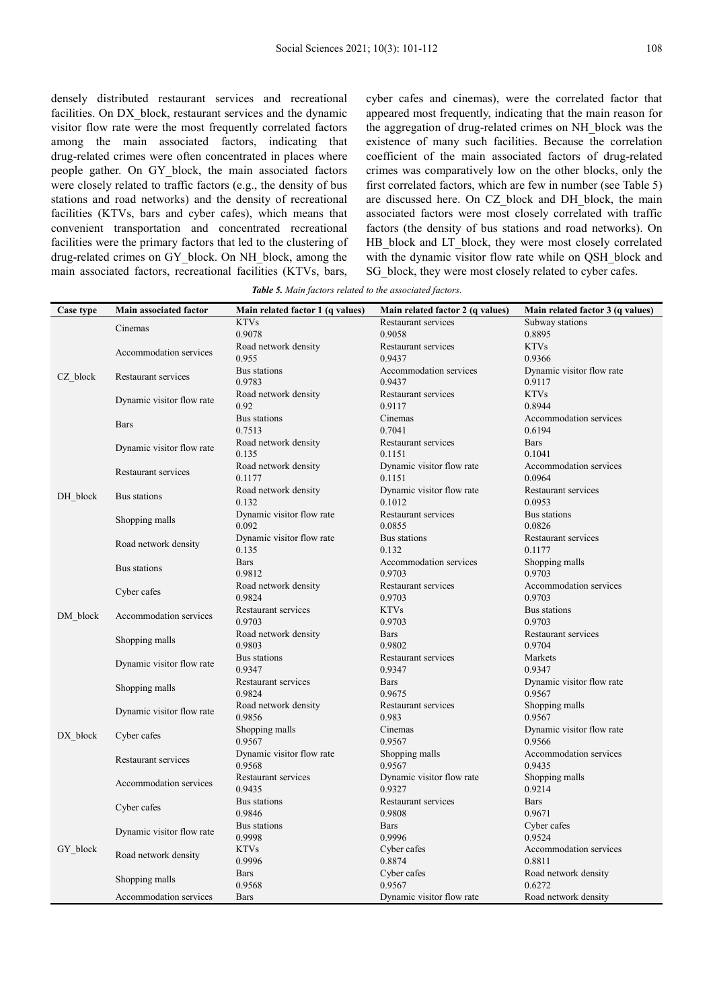densely distributed restaurant services and recreational facilities. On DX block, restaurant services and the dynamic visitor flow rate were the most frequently correlated factors among the main associated factors, indicating that drug-related crimes were often concentrated in places where people gather. On GY\_block, the main associated factors were closely related to traffic factors (e.g., the density of bus stations and road networks) and the density of recreational facilities (KTVs, bars and cyber cafes), which means that convenient transportation and concentrated recreational facilities were the primary factors that led to the clustering of drug-related crimes on GY\_block. On NH\_block, among the main associated factors, recreational facilities (KTVs, bars, cyber cafes and cinemas), were the correlated factor that appeared most frequently, indicating that the main reason for the aggregation of drug-related crimes on NH\_block was the existence of many such facilities. Because the correlation coefficient of the main associated factors of drug-related crimes was comparatively low on the other blocks, only the first correlated factors, which are few in number (see Table 5) are discussed here. On CZ block and DH block, the main associated factors were most closely correlated with traffic factors (the density of bus stations and road networks). On HB\_block and LT\_block, they were most closely correlated with the dynamic visitor flow rate while on QSH\_block and SG block, they were most closely related to cyber cafes.

*Table 5. Main factors related to the associated factors.* 

| Case type | Main associated factor                   | Main related factor 1 (q values) | Main related factor 2 (q values) | Main related factor 3 (q values) |
|-----------|------------------------------------------|----------------------------------|----------------------------------|----------------------------------|
|           |                                          | <b>KTVs</b>                      | Restaurant services              | Subway stations                  |
| CZ block  | Cinemas                                  | 0.9078                           | 0.9058                           | 0.8895                           |
|           | Accommodation services                   | Road network density             | Restaurant services              | <b>KTVs</b>                      |
|           |                                          | 0.955                            | 0.9437                           | 0.9366                           |
|           | Restaurant services                      | Bus stations                     | Accommodation services           | Dynamic visitor flow rate        |
|           |                                          | 0.9783                           | 0.9437                           | 0.9117                           |
|           |                                          | Road network density             | Restaurant services              | <b>KTVs</b>                      |
|           | Dynamic visitor flow rate                | 0.92                             | 0.9117                           | 0.8944                           |
|           |                                          | Bus stations                     | Cinemas                          | Accommodation services           |
|           | <b>Bars</b>                              | 0.7513                           | 0.7041                           | 0.6194                           |
|           | Dynamic visitor flow rate                | Road network density             | Restaurant services              | <b>Bars</b>                      |
|           |                                          | 0.135                            | 0.1151                           | 0.1041                           |
|           |                                          | Road network density             | Dynamic visitor flow rate        | Accommodation services           |
|           | Restaurant services                      | 0.1177                           | 0.1151                           | 0.0964                           |
|           |                                          | Road network density             | Dynamic visitor flow rate        | Restaurant services              |
| DH block  | Bus stations                             | 0.132                            | 0.1012                           | 0.0953                           |
|           |                                          | Dynamic visitor flow rate        | Restaurant services              | Bus stations                     |
|           | Shopping malls                           | 0.092                            | 0.0855                           | 0.0826                           |
|           |                                          | Dynamic visitor flow rate        | Bus stations                     | Restaurant services              |
|           | Road network density                     | 0.135                            | 0.132                            | 0.1177                           |
|           |                                          | <b>Bars</b>                      | Accommodation services           | Shopping malls                   |
|           | Bus stations                             | 0.9812                           | 0.9703                           | 0.9703                           |
|           | Cyber cafes                              | Road network density             | Restaurant services              | Accommodation services           |
|           |                                          | 0.9824                           | 0.9703                           | 0.9703                           |
|           |                                          | Restaurant services              | <b>KTVs</b>                      | Bus stations                     |
| DM block  | Accommodation services                   | 0.9703                           | 0.9703                           | 0.9703                           |
|           | Shopping malls                           | Road network density             | <b>Bars</b>                      | Restaurant services              |
|           |                                          | 0.9803                           | 0.9802                           | 0.9704                           |
|           | Dynamic visitor flow rate                | Bus stations                     | Restaurant services              | Markets                          |
|           |                                          | 0.9347                           | 0.9347                           | 0.9347                           |
|           |                                          | Restaurant services              | <b>Bars</b>                      | Dynamic visitor flow rate        |
|           | Shopping malls                           | 0.9824                           | 0.9675                           | 0.9567                           |
|           | Dynamic visitor flow rate                | Road network density             | Restaurant services              | Shopping malls                   |
|           |                                          | 0.9856                           | 0.983                            | 0.9567                           |
| DX block  | Cyber cafes                              | Shopping malls                   | Cinemas                          | Dynamic visitor flow rate        |
|           |                                          | 0.9567                           | 0.9567                           | 0.9566                           |
|           | Restaurant services                      | Dynamic visitor flow rate        | Shopping malls                   | Accommodation services           |
|           |                                          | 0.9568                           | 0.9567                           | 0.9435                           |
|           | Accommodation services                   | Restaurant services              | Dynamic visitor flow rate        | Shopping malls                   |
|           |                                          | 0.9435                           | 0.9327                           | 0.9214                           |
|           | Cyber cafes<br>Dynamic visitor flow rate | Bus stations                     | Restaurant services              | <b>Bars</b>                      |
|           |                                          | 0.9846                           | 0.9808                           | 0.9671                           |
|           |                                          | Bus stations                     | <b>Bars</b>                      | Cyber cafes                      |
|           |                                          | 0.9998                           | 0.9996                           | 0.9524                           |
| GY block  | Road network density                     | <b>KTVs</b>                      | Cyber cafes                      | Accommodation services           |
|           |                                          | 0.9996                           | 0.8874                           | 0.8811                           |
|           | Shopping malls                           | <b>Bars</b>                      | Cyber cafes                      | Road network density             |
|           |                                          | 0.9568                           | 0.9567                           | 0.6272                           |
|           | Accommodation services                   | <b>Bars</b>                      | Dynamic visitor flow rate        | Road network density             |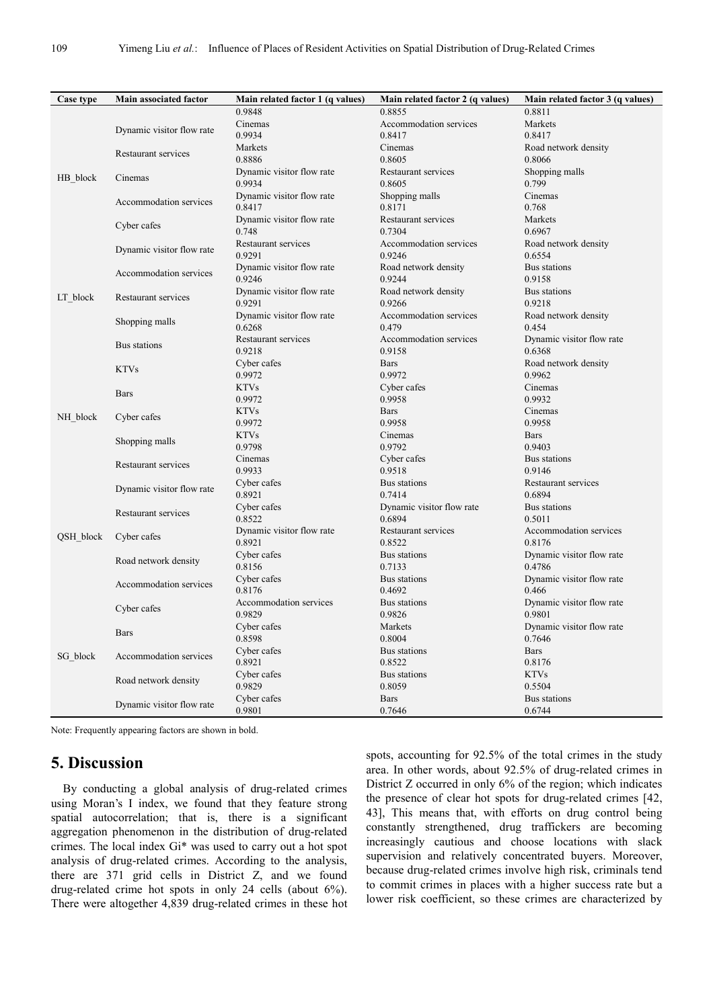| Case type | Main associated factor    | Main related factor 1 (q values) | Main related factor 2 (q values) | Main related factor 3 (q values) |
|-----------|---------------------------|----------------------------------|----------------------------------|----------------------------------|
|           |                           | 0.9848                           | 0.8855                           | 0.8811                           |
| HB_block  | Dynamic visitor flow rate | Cinemas                          | Accommodation services           | Markets                          |
|           |                           | 0.9934                           | 0.8417                           | 0.8417                           |
|           | Restaurant services       | Markets                          | Cinemas                          | Road network density             |
|           |                           | 0.8886                           | 0.8605                           | 0.8066                           |
|           | Cinemas                   | Dynamic visitor flow rate        | Restaurant services              | Shopping malls                   |
|           |                           | 0.9934                           | 0.8605                           | 0.799                            |
|           | Accommodation services    | Dynamic visitor flow rate        | Shopping malls                   | Cinemas                          |
|           |                           | 0.8417                           | 0.8171                           | 0.768                            |
|           | Cyber cafes               | Dynamic visitor flow rate        | Restaurant services              | Markets                          |
|           |                           | 0.748                            | 0.7304                           | 0.6967                           |
|           | Dynamic visitor flow rate | Restaurant services              | Accommodation services           | Road network density             |
|           |                           | 0.9291                           | 0.9246                           | 0.6554                           |
|           | Accommodation services    | Dynamic visitor flow rate        | Road network density             | Bus stations                     |
|           |                           | 0.9246                           | 0.9244                           | 0.9158                           |
| LT_block  | Restaurant services       | Dynamic visitor flow rate        | Road network density             | Bus stations                     |
|           |                           | 0.9291                           | 0.9266                           | 0.9218                           |
|           | Shopping malls            | Dynamic visitor flow rate        | Accommodation services           | Road network density             |
|           |                           | 0.6268                           | 0.479                            | 0.454                            |
|           | Bus stations              | Restaurant services              | Accommodation services           | Dynamic visitor flow rate        |
|           |                           | 0.9218                           | 0.9158                           | 0.6368                           |
|           | <b>KTVs</b>               | Cyber cafes                      | <b>Bars</b>                      | Road network density             |
|           |                           | 0.9972                           | 0.9972                           | 0.9962                           |
|           | <b>Bars</b>               | <b>KTVs</b>                      | Cyber cafes                      | Cinemas                          |
|           |                           | 0.9972                           | 0.9958                           | 0.9932                           |
| NH block  | Cyber cafes               | <b>KTVs</b>                      | <b>Bars</b>                      | Cinemas                          |
|           |                           | 0.9972                           | 0.9958                           | 0.9958                           |
|           | Shopping malls            | <b>KTVs</b>                      | Cinemas                          | <b>Bars</b>                      |
|           |                           | 0.9798                           | 0.9792                           | 0.9403                           |
|           | Restaurant services       | Cinemas                          | Cyber cafes                      | Bus stations                     |
|           |                           | 0.9933                           | 0.9518                           | 0.9146                           |
|           | Dynamic visitor flow rate | Cyber cafes                      | Bus stations                     | Restaurant services              |
|           |                           | 0.8921                           | 0.7414                           | 0.6894                           |
|           | Restaurant services       | Cyber cafes                      | Dynamic visitor flow rate        | Bus stations                     |
|           |                           | 0.8522                           | 0.6894                           | 0.5011                           |
| QSH_block | Cyber cafes               | Dynamic visitor flow rate        | Restaurant services              | Accommodation services           |
|           |                           | 0.8921                           | 0.8522                           | 0.8176                           |
|           | Road network density      | Cyber cafes                      | Bus stations                     | Dynamic visitor flow rate        |
|           |                           | 0.8156                           | 0.7133                           | 0.4786                           |
|           | Accommodation services    | Cyber cafes                      | Bus stations                     | Dynamic visitor flow rate        |
|           |                           | 0.8176                           | 0.4692                           | 0.466                            |
|           | Cyber cafes<br>Bars       | Accommodation services           | Bus stations                     | Dynamic visitor flow rate        |
|           |                           | 0.9829                           | 0.9826                           | 0.9801                           |
|           |                           | Cyber cafes                      | Markets                          | Dynamic visitor flow rate        |
|           |                           | 0.8598                           | 0.8004                           | 0.7646                           |
| SG_block  | Accommodation services    | Cyber cafes                      | <b>Bus</b> stations              | <b>Bars</b>                      |
|           |                           | 0.8921                           | 0.8522                           | 0.8176                           |
|           | Road network density      | Cyber cafes                      | Bus stations                     | <b>KTVs</b>                      |
|           |                           | 0.9829                           | 0.8059                           | 0.5504                           |
|           | Dynamic visitor flow rate | Cyber cafes                      | <b>Bars</b>                      | Bus stations                     |
|           |                           | 0.9801                           | 0.7646                           | 0.6744                           |

Note: Frequently appearing factors are shown in bold.

### **5. Discussion**

By conducting a global analysis of drug-related crimes using Moran's I index, we found that they feature strong spatial autocorrelation; that is, there is a significant aggregation phenomenon in the distribution of drug-related crimes. The local index Gi\* was used to carry out a hot spot analysis of drug-related crimes. According to the analysis, there are 371 grid cells in District Z, and we found drug-related crime hot spots in only 24 cells (about 6%). There were altogether 4,839 drug-related crimes in these hot spots, accounting for 92.5% of the total crimes in the study area. In other words, about 92.5% of drug-related crimes in District Z occurred in only 6% of the region; which indicates the presence of clear hot spots for drug-related crimes [42, 43], This means that, with efforts on drug control being constantly strengthened, drug traffickers are becoming increasingly cautious and choose locations with slack supervision and relatively concentrated buyers. Moreover, because drug-related crimes involve high risk, criminals tend to commit crimes in places with a higher success rate but a lower risk coefficient, so these crimes are characterized by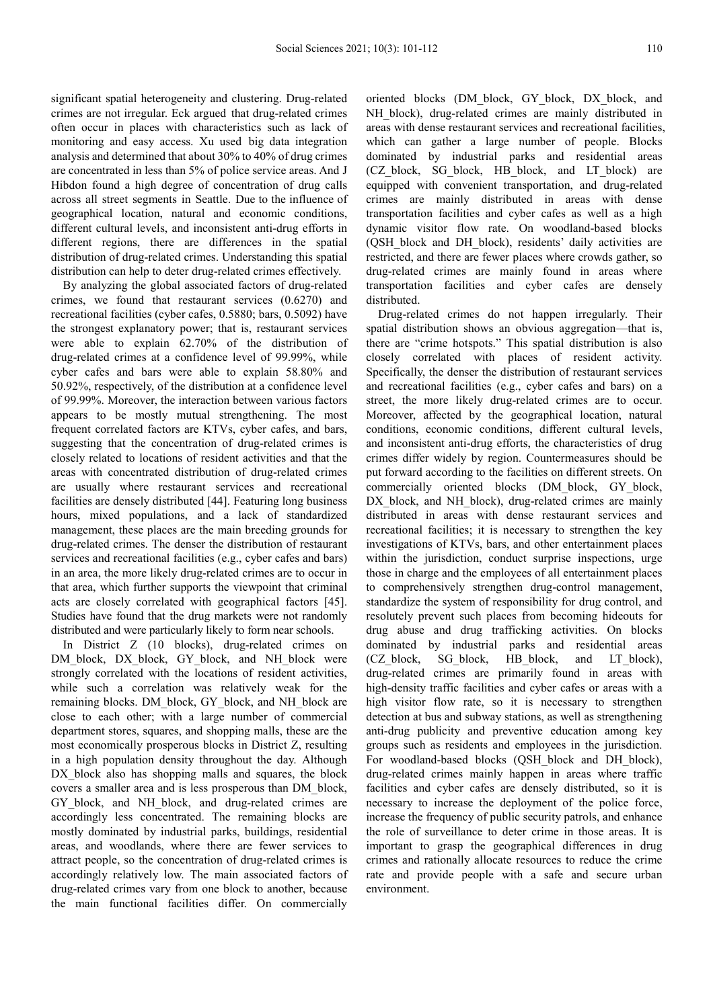significant spatial heterogeneity and clustering. Drug-related crimes are not irregular. Eck argued that drug-related crimes often occur in places with characteristics such as lack of monitoring and easy access. Xu used big data integration analysis and determined that about 30% to 40% of drug crimes are concentrated in less than 5% of police service areas. And J Hibdon found a high degree of concentration of drug calls across all street segments in Seattle. Due to the influence of geographical location, natural and economic conditions, different cultural levels, and inconsistent anti-drug efforts in different regions, there are differences in the spatial distribution of drug-related crimes. Understanding this spatial distribution can help to deter drug-related crimes effectively.

By analyzing the global associated factors of drug-related crimes, we found that restaurant services (0.6270) and recreational facilities (cyber cafes, 0.5880; bars, 0.5092) have the strongest explanatory power; that is, restaurant services were able to explain 62.70% of the distribution of drug-related crimes at a confidence level of 99.99%, while cyber cafes and bars were able to explain 58.80% and 50.92%, respectively, of the distribution at a confidence level of 99.99%. Moreover, the interaction between various factors appears to be mostly mutual strengthening. The most frequent correlated factors are KTVs, cyber cafes, and bars, suggesting that the concentration of drug-related crimes is closely related to locations of resident activities and that the areas with concentrated distribution of drug-related crimes are usually where restaurant services and recreational facilities are densely distributed [44]. Featuring long business hours, mixed populations, and a lack of standardized management, these places are the main breeding grounds for drug-related crimes. The denser the distribution of restaurant services and recreational facilities (e.g., cyber cafes and bars) in an area, the more likely drug-related crimes are to occur in that area, which further supports the viewpoint that criminal acts are closely correlated with geographical factors [45]. Studies have found that the drug markets were not randomly distributed and were particularly likely to form near schools.

In District Z (10 blocks), drug-related crimes on DM\_block, DX\_block, GY\_block, and NH\_block were strongly correlated with the locations of resident activities, while such a correlation was relatively weak for the remaining blocks. DM\_block, GY\_block, and NH\_block are close to each other; with a large number of commercial department stores, squares, and shopping malls, these are the most economically prosperous blocks in District Z, resulting in a high population density throughout the day. Although DX block also has shopping malls and squares, the block covers a smaller area and is less prosperous than DM\_block, GY\_block, and NH\_block, and drug-related crimes are accordingly less concentrated. The remaining blocks are mostly dominated by industrial parks, buildings, residential areas, and woodlands, where there are fewer services to attract people, so the concentration of drug-related crimes is accordingly relatively low. The main associated factors of drug-related crimes vary from one block to another, because the main functional facilities differ. On commercially

oriented blocks (DM\_block, GY\_block, DX\_block, and NH block), drug-related crimes are mainly distributed in areas with dense restaurant services and recreational facilities, which can gather a large number of people. Blocks dominated by industrial parks and residential areas (CZ\_block, SG\_block, HB\_block, and LT\_block) are equipped with convenient transportation, and drug-related crimes are mainly distributed in areas with dense transportation facilities and cyber cafes as well as a high dynamic visitor flow rate. On woodland-based blocks (QSH\_block and DH\_block), residents' daily activities are restricted, and there are fewer places where crowds gather, so drug-related crimes are mainly found in areas where transportation facilities and cyber cafes are densely distributed.

Drug-related crimes do not happen irregularly. Their spatial distribution shows an obvious aggregation—that is, there are "crime hotspots." This spatial distribution is also closely correlated with places of resident activity. Specifically, the denser the distribution of restaurant services and recreational facilities (e.g., cyber cafes and bars) on a street, the more likely drug-related crimes are to occur. Moreover, affected by the geographical location, natural conditions, economic conditions, different cultural levels, and inconsistent anti-drug efforts, the characteristics of drug crimes differ widely by region. Countermeasures should be put forward according to the facilities on different streets. On commercially oriented blocks (DM\_block, GY\_block, DX\_block, and NH\_block), drug-related crimes are mainly distributed in areas with dense restaurant services and recreational facilities; it is necessary to strengthen the key investigations of KTVs, bars, and other entertainment places within the jurisdiction, conduct surprise inspections, urge those in charge and the employees of all entertainment places to comprehensively strengthen drug-control management, standardize the system of responsibility for drug control, and resolutely prevent such places from becoming hideouts for drug abuse and drug trafficking activities. On blocks dominated by industrial parks and residential areas (CZ\_block, SG\_block, HB\_block, and LT\_block), drug-related crimes are primarily found in areas with high-density traffic facilities and cyber cafes or areas with a high visitor flow rate, so it is necessary to strengthen detection at bus and subway stations, as well as strengthening anti-drug publicity and preventive education among key groups such as residents and employees in the jurisdiction. For woodland-based blocks (QSH block and DH block), drug-related crimes mainly happen in areas where traffic facilities and cyber cafes are densely distributed, so it is necessary to increase the deployment of the police force, increase the frequency of public security patrols, and enhance the role of surveillance to deter crime in those areas. It is important to grasp the geographical differences in drug crimes and rationally allocate resources to reduce the crime rate and provide people with a safe and secure urban environment.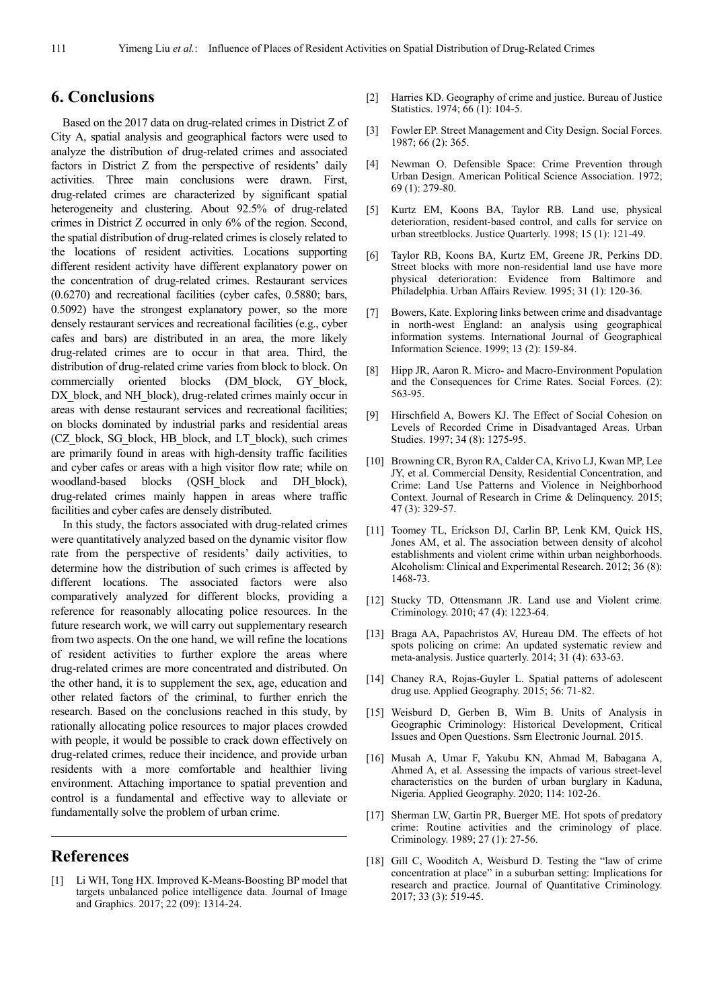### **6. Conclusions**

Based on the 2017 data on drug-related crimes in District Z of City A, spatial analysis and geographical factors were used to analyze the distribution of drug-related crimes and associated factors in District Z from the perspective of residents' daily activities. Three main conclusions were drawn. First, drug-related crimes are characterized by significant spatial heterogeneity and clustering. About 92.5% of drug-related crimes in District Z occurred in only 6% of the region. Second, the spatial distribution of drug-related crimes is closely related to the locations of resident activities. Locations supporting different resident activity have different explanatory power on the concentration of drug-related crimes. Restaurant services (0.6270) and recreational facilities (cyber cafes, 0.5880; bars, 0.5092) have the strongest explanatory power, so the more densely restaurant services and recreational facilities (e.g., cyber cafes and bars) are distributed in an area, the more likely drug-related crimes are to occur in that area. Third, the distribution of drug-related crime varies from block to block. On commercially oriented blocks (DM\_block, GY\_block, DX block, and NH block), drug-related crimes mainly occur in areas with dense restaurant services and recreational facilities; on blocks dominated by industrial parks and residential areas (CZ\_block, SG\_block, HB\_block, and LT\_block), such crimes are primarily found in areas with high-density traffic facilities and cyber cafes or areas with a high visitor flow rate; while on woodland-based blocks (QSH\_block and DH\_block), drug-related crimes mainly happen in areas where traffic facilities and cyber cafes are densely distributed.

In this study, the factors associated with drug-related crimes were quantitatively analyzed based on the dynamic visitor flow rate from the perspective of residents' daily activities, to determine how the distribution of such crimes is affected by different locations. The associated factors were also comparatively analyzed for different blocks, providing a reference for reasonably allocating police resources. In the future research work, we will carry out supplementary research from two aspects. On the one hand, we will refine the locations of resident activities to further explore the areas where drug-related crimes are more concentrated and distributed. On the other hand, it is to supplement the sex, age, education and other related factors of the criminal, to further enrich the research. Based on the conclusions reached in this study, by rationally allocating police resources to major places crowded with people, it would be possible to crack down effectively on drug-related crimes, reduce their incidence, and provide urban residents with a more comfortable and healthier living environment. Attaching importance to spatial prevention and control is a fundamental and effective way to alleviate or fundamentally solve the problem of urban crime.

### **References**

[1] Li WH, Tong HX. Improved K-Means-Boosting BP model that targets unbalanced police intelligence data. Journal of Image and Graphics. 2017; 22 (09): 1314-24.

- [2] Harries KD. Geography of crime and justice. Bureau of Justice Statistics. 1974; 66 (1): 104-5.
- [3] Fowler EP. Street Management and City Design. Social Forces. 1987; 66 (2): 365.
- [4] Newman O. Defensible Space: Crime Prevention through Urban Design. American Political Science Association. 1972; 69 (1): 279-80.
- [5] Kurtz EM, Koons BA, Taylor RB. Land use, physical deterioration, resident-based control, and calls for service on urban streetblocks. Justice Quarterly. 1998; 15 (1): 121-49.
- [6] Taylor RB, Koons BA, Kurtz EM, Greene JR, Perkins DD. Street blocks with more non-residential land use have more physical deterioration: Evidence from Baltimore and Philadelphia. Urban Affairs Review. 1995; 31 (1): 120-36.
- [7] Bowers, Kate. Exploring links between crime and disadvantage in north-west England: an analysis using geographical information systems. International Journal of Geographical Information Science. 1999; 13 (2): 159-84.
- [8] Hipp JR, Aaron R. Micro- and Macro-Environment Population and the Consequences for Crime Rates. Social Forces. (2): 563-95.
- [9] Hirschfield A, Bowers KJ. The Effect of Social Cohesion on Levels of Recorded Crime in Disadvantaged Areas. Urban Studies. 1997; 34 (8): 1275-95.
- [10] Browning CR, Byron RA, Calder CA, Krivo LJ, Kwan MP, Lee JY, et al. Commercial Density, Residential Concentration, and Crime: Land Use Patterns and Violence in Neighborhood Context. Journal of Research in Crime & Delinquency. 2015; 47 (3): 329-57.
- [11] Toomey TL, Erickson DJ, Carlin BP, Lenk KM, Quick HS, Jones AM, et al. The association between density of alcohol establishments and violent crime within urban neighborhoods. Alcoholism: Clinical and Experimental Research. 2012; 36 (8): 1468-73.
- [12] Stucky TD, Ottensmann JR. Land use and Violent crime. Criminology. 2010; 47 (4): 1223-64.
- [13] Braga AA, Papachristos AV, Hureau DM. The effects of hot spots policing on crime: An updated systematic review and meta-analysis. Justice quarterly. 2014; 31 (4): 633-63.
- [14] Chaney RA, Rojas-Guyler L. Spatial patterns of adolescent drug use. Applied Geography. 2015; 56: 71-82.
- [15] Weisburd D, Gerben B, Wim B. Units of Analysis in Geographic Criminology: Historical Development, Critical Issues and Open Questions. Ssrn Electronic Journal. 2015.
- [16] Musah A, Umar F, Yakubu KN, Ahmad M, Babagana A, Ahmed A, et al. Assessing the impacts of various street-level characteristics on the burden of urban burglary in Kaduna, Nigeria. Applied Geography. 2020; 114: 102-26.
- [17] Sherman LW, Gartin PR, Buerger ME. Hot spots of predatory crime: Routine activities and the criminology of place. Criminology. 1989; 27 (1): 27-56.
- [18] Gill C, Wooditch A, Weisburd D. Testing the "law of crime" concentration at place" in a suburban setting: Implications for research and practice. Journal of Quantitative Criminology. 2017; 33 (3): 519-45.